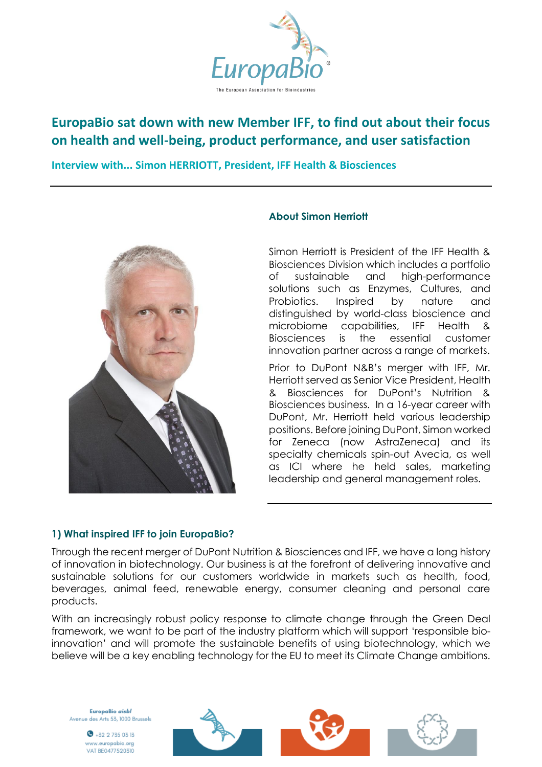

# **EuropaBio sat down with new Member IFF, to find out about their focus on health and well-being, product performance, and user satisfaction**

**Interview with... Simon HERRIOTT, President, IFF Health & Biosciences** 



### **About Simon Herriott**

Simon Herriott is President of the IFF Health & Biosciences Division which includes a portfolio of sustainable and high-performance solutions such as Enzymes, Cultures, and Probiotics. Inspired by nature and distinguished by world-class bioscience and microbiome capabilities, IFF Health & Biosciences is the essential customer innovation partner across a range of markets.

Prior to DuPont N&B's merger with IFF, Mr. Herriott served as Senior Vice President, Health & Biosciences for DuPont's Nutrition & Biosciences business. In a 16-year career with DuPont, Mr. Herriott held various leadership positions. Before joining DuPont, Simon worked for Zeneca (now AstraZeneca) and its specialty chemicals spin-out Avecia, as well as ICI where he held sales, marketing leadership and general management roles.

## **1) What inspired IFF to join EuropaBio?**

Through the recent merger of DuPont Nutrition & Biosciences and IFF, we have a long history of innovation in biotechnology. Our business is at the forefront of delivering innovative and sustainable solutions for our customers worldwide in markets such as health, food, beverages, animal feed, renewable energy, consumer cleaning and personal care products.

With an increasingly robust policy response to climate change through the Green Deal framework, we want to be part of the industry platform which will support 'responsible bioinnovation' and will promote the sustainable benefits of using biotechnology, which we believe will be a key enabling technology for the EU to meet its Climate Change ambitions.

EuropaBio aisbl Avenue des Arts 53, 1000 Brussels

> $\bullet$  +32 2 735 03 13 ww.europabio.org VAT BE0477520310